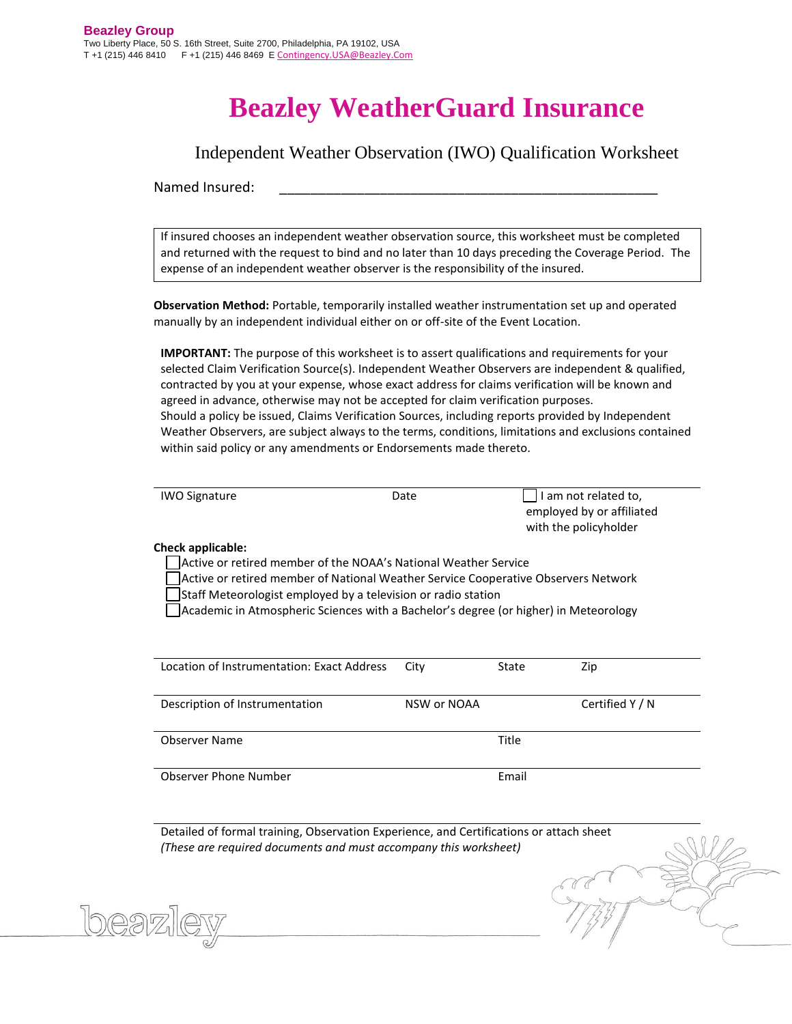## **Beazley WeatherGuard Insurance**

Independent Weather Observation (IWO) Qualification Worksheet

Named Insured:

If insured chooses an independent weather observation source, this worksheet must be completed and returned with the request to bind and no later than 10 days preceding the Coverage Period. The expense of an independent weather observer is the responsibility of the insured.

**Observation Method:** Portable, temporarily installed weather instrumentation set up and operated manually by an independent individual either on or off-site of the Event Location.

**IMPORTANT:** The purpose of this worksheet is to assert qualifications and requirements for your selected Claim Verification Source(s). Independent Weather Observers are independent & qualified, contracted by you at your expense, whose exact address for claims verification will be known and agreed in advance, otherwise may not be accepted for claim verification purposes. Should a policy be issued, Claims Verification Sources, including reports provided by Independent Weather Observers, are subject always to the terms, conditions, limitations and exclusions contained within said policy or any amendments or Endorsements made thereto.

| <b>IWO Signature</b> | Date | I am not related to,      |
|----------------------|------|---------------------------|
|                      |      | employed by or affiliated |
|                      |      | with the policyholder     |

## **Check applicable:**

Active or retired member of the NOAA's National Weather Service

Active or retired member of National Weather Service Cooperative Observers Network

Staff Meteorologist employed by a television or radio station

Academic in Atmospheric Sciences with a Bachelor's degree (or higher) in Meteorology

| Location of Instrumentation: Exact Address | City        | State | Zip             |
|--------------------------------------------|-------------|-------|-----------------|
| Description of Instrumentation             | NSW or NOAA |       | Certified $Y/N$ |
| Observer Name                              |             | Title |                 |
| <b>Observer Phone Number</b>               |             | Email |                 |

Detailed of formal training, Observation Experience, and Certifications or attach sheet *(These are required documents and must accompany this worksheet)*